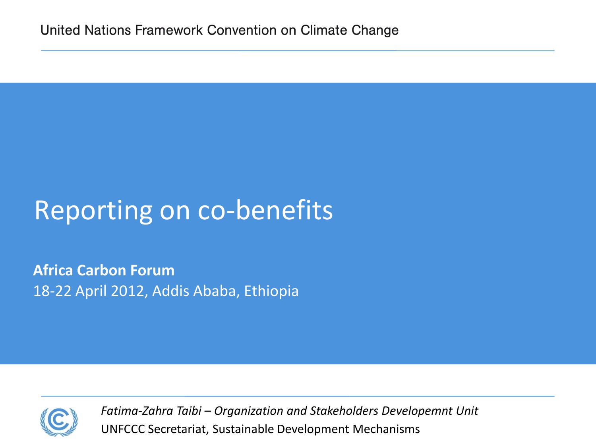# Reporting on co-benefits

**Africa Carbon Forum** 18-22 April 2012, Addis Ababa, Ethiopia



UNFCCC Secretariat, Sustainable Development Mechanisms *Fatima-Zahra Taibi – Organization and Stakeholders Developemnt Unit*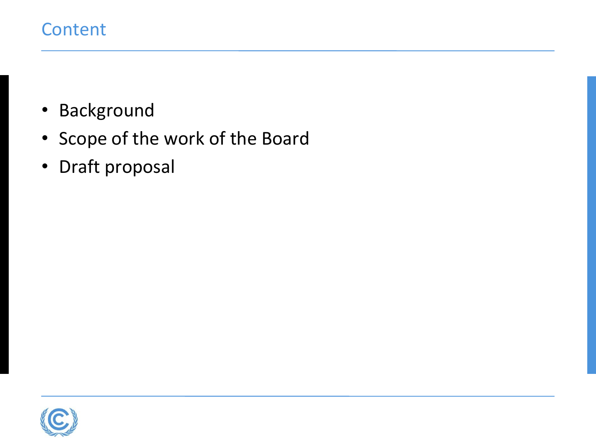## **Content**

- Background
- Scope of the work of the Board
- Draft proposal

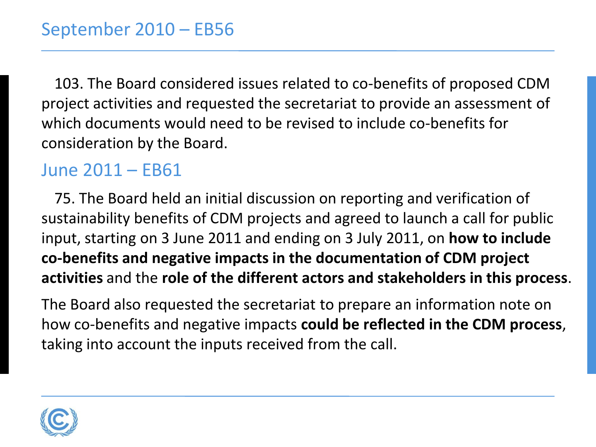103. The Board considered issues related to co-benefits of proposed CDM project activities and requested the secretariat to provide an assessment of which documents would need to be revised to include co-benefits for consideration by the Board.

## June 2011 – EB61

75. The Board held an initial discussion on reporting and verification of sustainability benefits of CDM projects and agreed to launch a call for public input, starting on 3 June 2011 and ending on 3 July 2011, on **how to include co-benefits and negative impacts in the documentation of CDM project activities** and the **role of the different actors and stakeholders in this process**.

The Board also requested the secretariat to prepare an information note on how co-benefits and negative impacts **could be reflected in the CDM process**, taking into account the inputs received from the call.

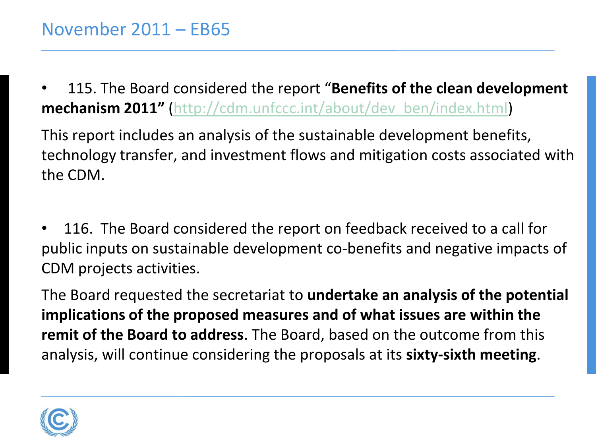• 115. The Board considered the report "**Benefits of the clean development mechanism 2011"** ([http://cdm.unfccc.int/about/dev\\_ben/index.html\)](http://cdm.unfccc.int/about/dev_ben/index.html)

This report includes an analysis of the sustainable development benefits, technology transfer, and investment flows and mitigation costs associated with the CDM.

• 116. The Board considered the report on feedback received to a call for public inputs on sustainable development co-benefits and negative impacts of CDM projects activities.

The Board requested the secretariat to **undertake an analysis of the potential implications of the proposed measures and of what issues are within the remit of the Board to address**. The Board, based on the outcome from this analysis, will continue considering the proposals at its **sixty-sixth meeting**.

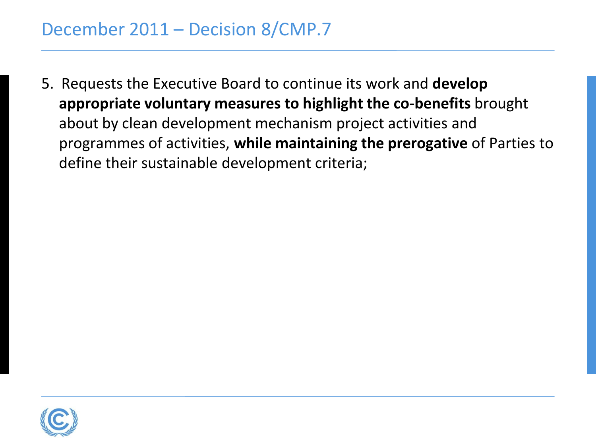5. Requests the Executive Board to continue its work and **develop appropriate voluntary measures to highlight the co-benefits** brought about by clean development mechanism project activities and programmes of activities, **while maintaining the prerogative** of Parties to define their sustainable development criteria;

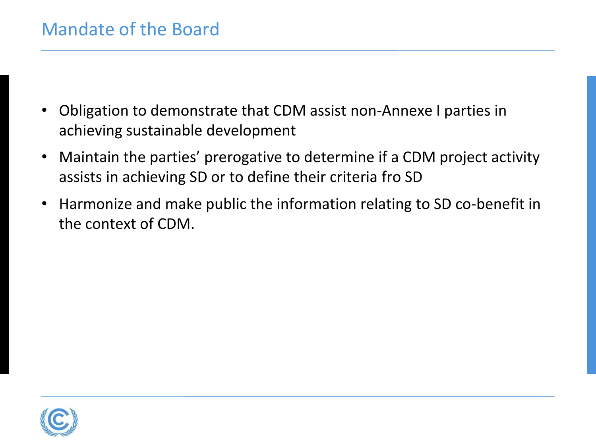- Obligation to demonstrate that CDM assist non-Annexe I parties in achieving sustainable development
- Maintain the parties' prerogative to determine if a CDM project activity assists in achieving SD or to define their criteria fro SD
- Harmonize and make public the information relating to SD co-benefit in the context of CDM.

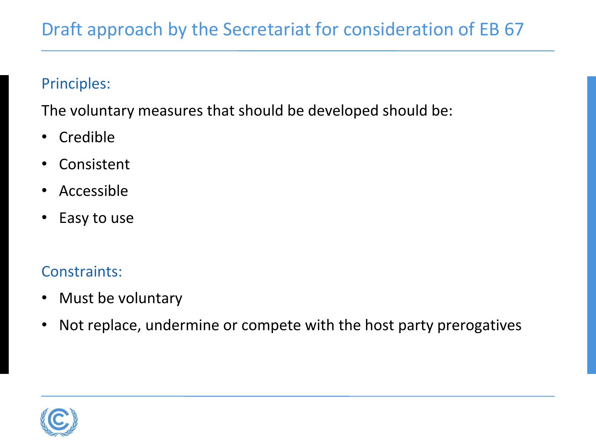# Draft approach by the Secretariat for consideration of EB 67

#### Principles:

The voluntary measures that should be developed should be:

- Credible
- Consistent
- Accessible
- Easy to use

#### Constraints:

- Must be voluntary
- Not replace, undermine or compete with the host party prerogatives

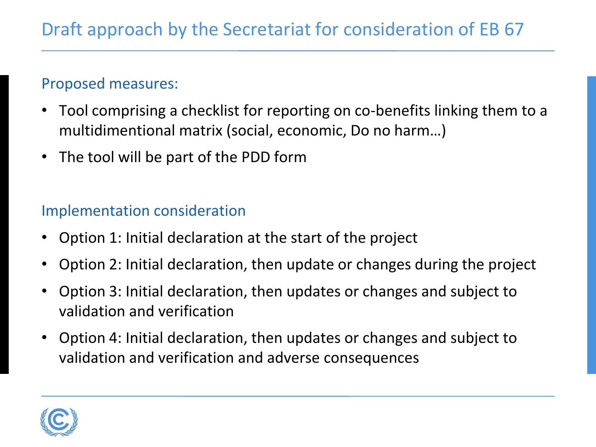#### Proposed measures:

- Tool comprising a checklist for reporting on co-benefits linking them to a multidimentional matrix (social, economic, Do no harm…)
- The tool will be part of the PDD form

#### Implementation consideration

- Option 1: Initial declaration at the start of the project
- Option 2: Initial declaration, then update or changes during the project
- Option 3: Initial declaration, then updates or changes and subject to validation and verification
- Option 4: Initial declaration, then updates or changes and subject to validation and verification and adverse consequences